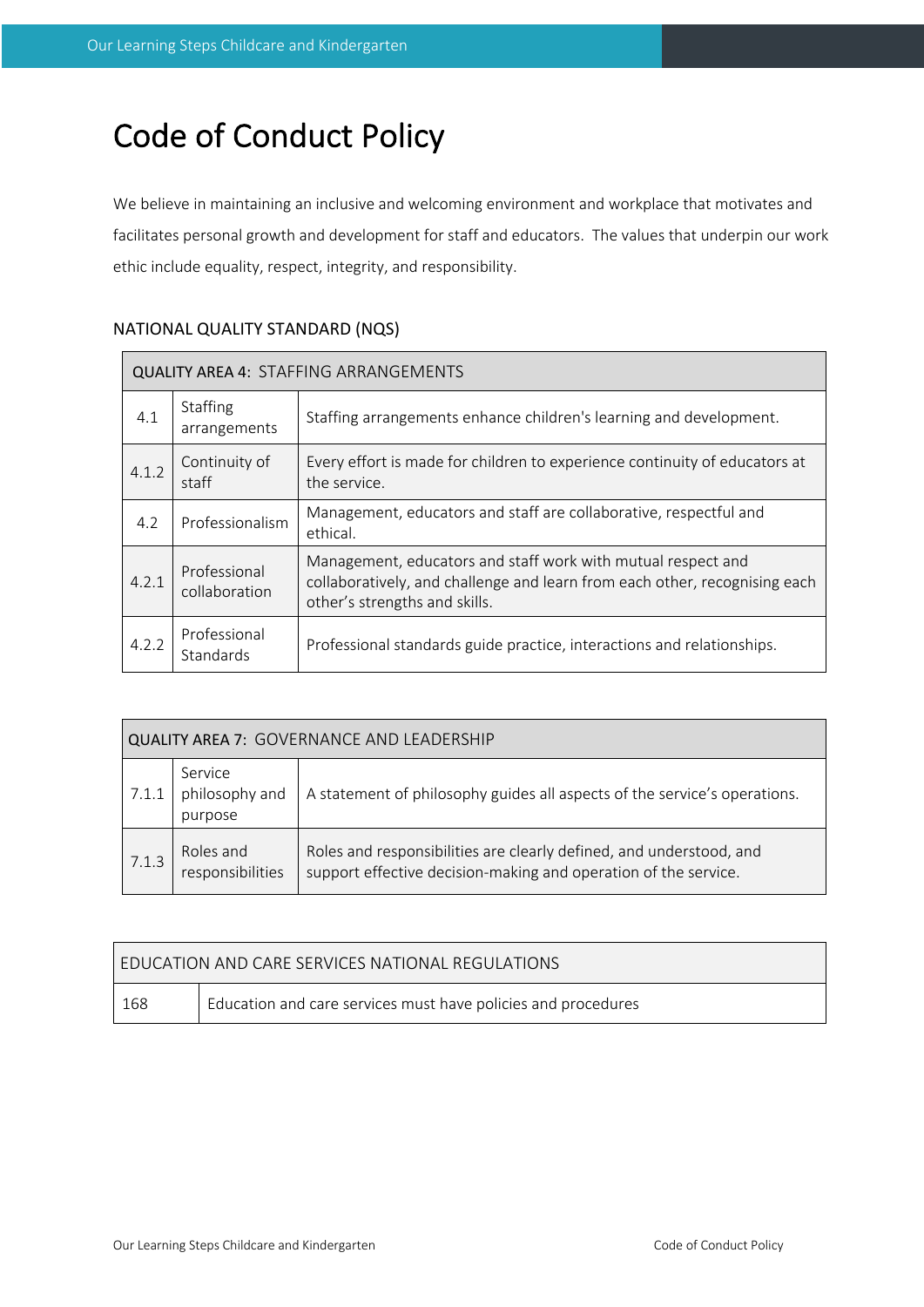# Code of Conduct Policy

We believe in maintaining an inclusive and welcoming environment and workplace that motivates and facilitates personal growth and development for staff and educators. The values that underpin our work ethic include equality, respect, integrity, and responsibility.

| <b>QUALITY AREA 4: STAFFING ARRANGEMENTS</b> |                                  |                                                                                                                                                                             |
|----------------------------------------------|----------------------------------|-----------------------------------------------------------------------------------------------------------------------------------------------------------------------------|
| 4.1                                          | Staffing<br>arrangements         | Staffing arrangements enhance children's learning and development.                                                                                                          |
| 4.1.2                                        | Continuity of<br>staff           | Every effort is made for children to experience continuity of educators at<br>the service.                                                                                  |
| 4.2                                          | Professionalism                  | Management, educators and staff are collaborative, respectful and<br>ethical.                                                                                               |
| 4.2.1                                        | Professional<br>collaboration    | Management, educators and staff work with mutual respect and<br>collaboratively, and challenge and learn from each other, recognising each<br>other's strengths and skills. |
| 4.2.2                                        | Professional<br><b>Standards</b> | Professional standards guide practice, interactions and relationships.                                                                                                      |

# NATIONAL QUALITY STANDARD (NQS)

| <b>QUALITY AREA 7: GOVERNANCE AND LEADERSHIP</b> |                                      |                                                                                                                                        |  |
|--------------------------------------------------|--------------------------------------|----------------------------------------------------------------------------------------------------------------------------------------|--|
| 7.1.1                                            | Service<br>philosophy and<br>purpose | A statement of philosophy guides all aspects of the service's operations.                                                              |  |
| 7.1.3                                            | Roles and<br>responsibilities        | Roles and responsibilities are clearly defined, and understood, and<br>support effective decision-making and operation of the service. |  |

| <b>FDUCATION AND CARE SERVICES NATIONAL REGULATIONS</b> |                                                               |  |
|---------------------------------------------------------|---------------------------------------------------------------|--|
| 168                                                     | Education and care services must have policies and procedures |  |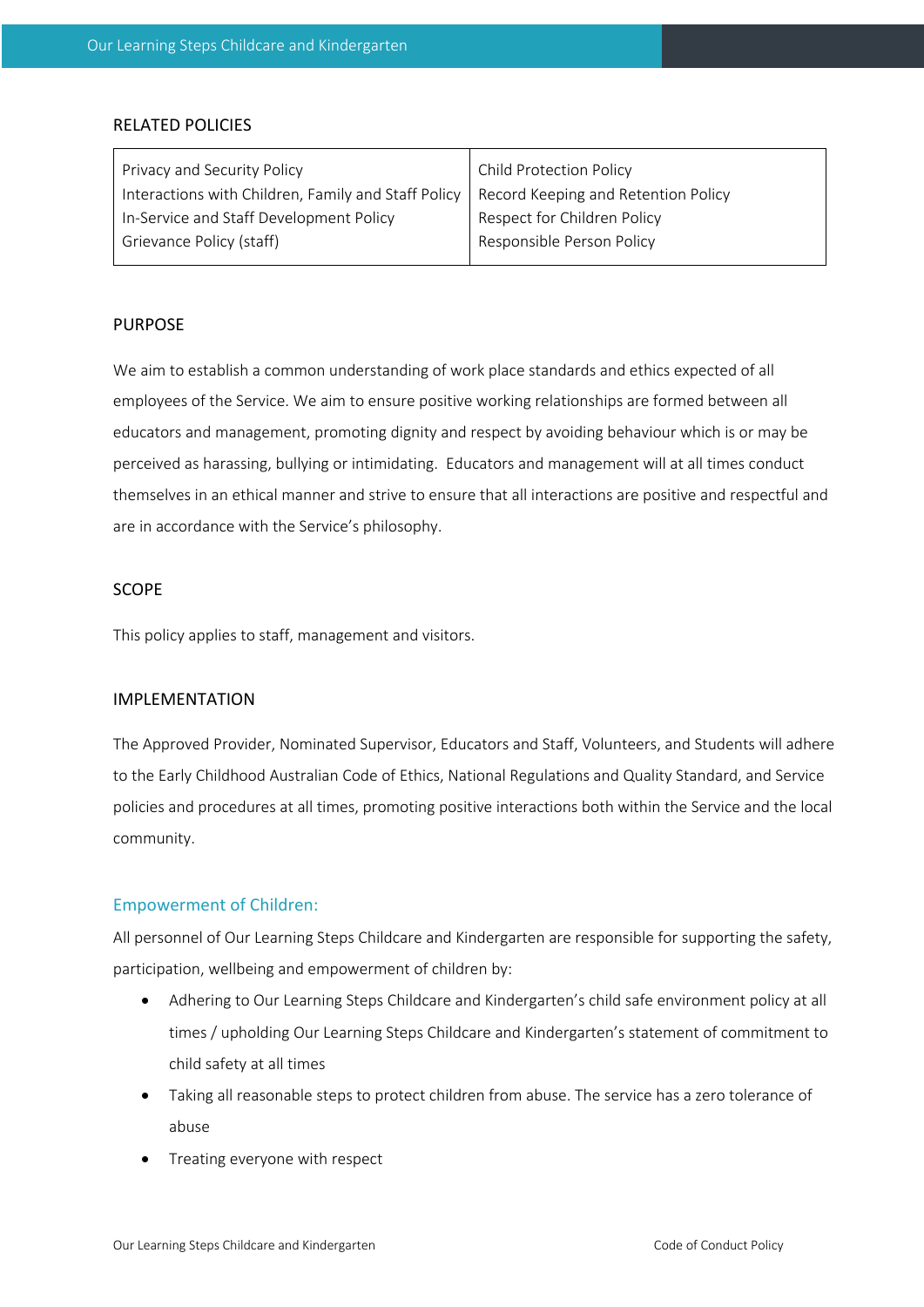#### RELATED POLICIES

| Privacy and Security Policy                         | Child Protection Policy             |
|-----------------------------------------------------|-------------------------------------|
| Interactions with Children, Family and Staff Policy | Record Keeping and Retention Policy |
| In-Service and Staff Development Policy             | Respect for Children Policy         |
| Grievance Policy (staff)                            | Responsible Person Policy           |
|                                                     |                                     |

#### PURPOSE

We aim to establish a common understanding of work place standards and ethics expected of all employees of the Service. We aim to ensure positive working relationships are formed between all educators and management, promoting dignity and respect by avoiding behaviour which is or may be perceived as harassing, bullying or intimidating. Educators and management will at all times conduct themselves in an ethical manner and strive to ensure that all interactions are positive and respectful and are in accordance with the Service's philosophy.

#### SCOPE

This policy applies to staff, management and visitors.

#### IMPLEMENTATION

The Approved Provider, Nominated Supervisor, Educators and Staff, Volunteers, and Students will adhere to the Early Childhood Australian Code of Ethics, National Regulations and Quality Standard, and Service policies and procedures at all times, promoting positive interactions both within the Service and the local community.

#### Empowerment of Children:

All personnel of Our Learning Steps Childcare and Kindergarten are responsible for supporting the safety, participation, wellbeing and empowerment of children by:

- Adhering to Our Learning Steps Childcare and Kindergarten's child safe environment policy at all times / upholding Our Learning Steps Childcare and Kindergarten's statement of commitment to child safety at all times
- Taking all reasonable steps to protect children from abuse. The service has a zero tolerance of abuse
- Treating everyone with respect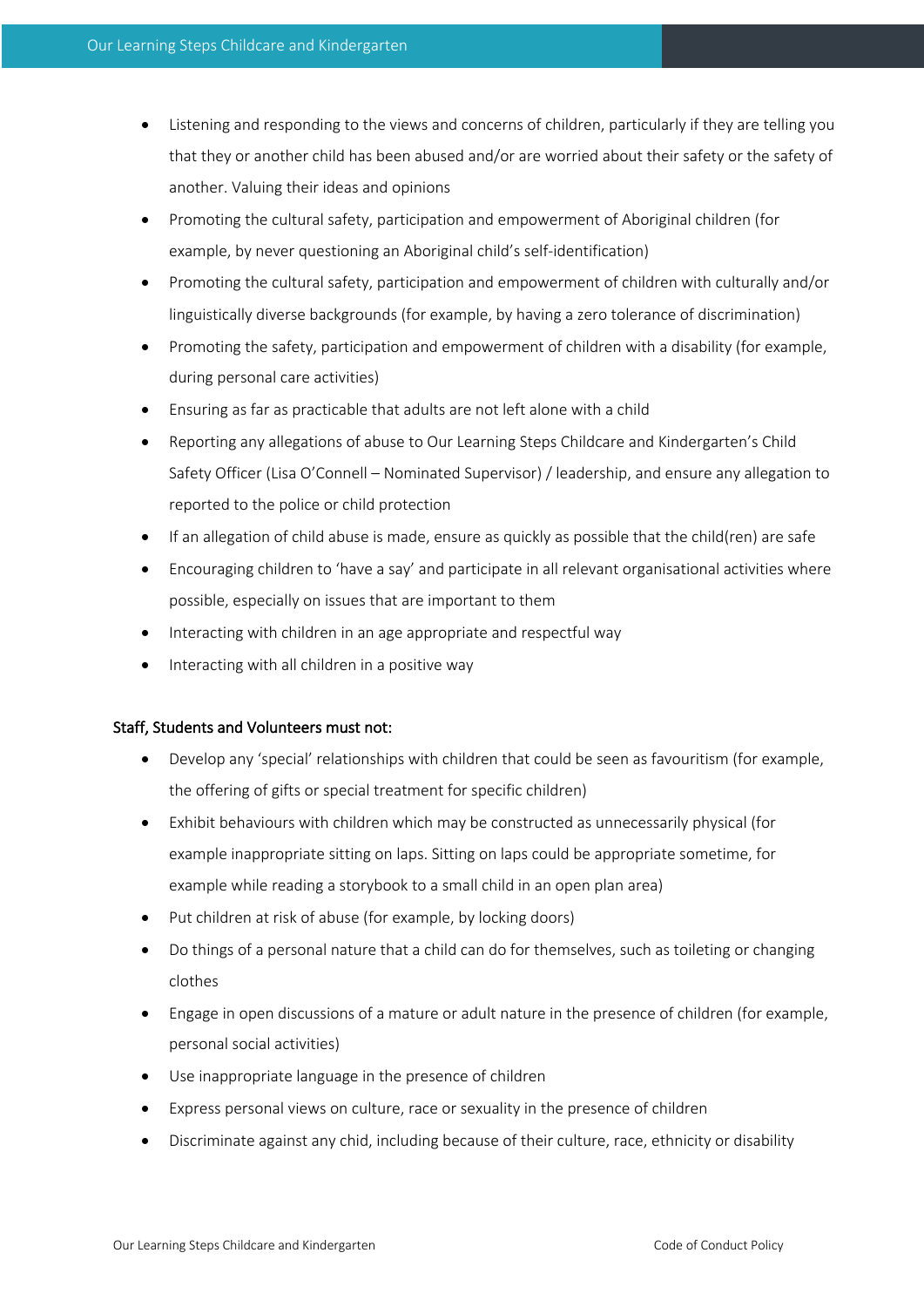- Listening and responding to the views and concerns of children, particularly if they are telling you that they or another child has been abused and/or are worried about their safety or the safety of another. Valuing their ideas and opinions
- Promoting the cultural safety, participation and empowerment of Aboriginal children (for example, by never questioning an Aboriginal child's self-identification)
- Promoting the cultural safety, participation and empowerment of children with culturally and/or linguistically diverse backgrounds (for example, by having a zero tolerance of discrimination)
- Promoting the safety, participation and empowerment of children with a disability (for example, during personal care activities)
- Ensuring as far as practicable that adults are not left alone with a child
- Reporting any allegations of abuse to Our Learning Steps Childcare and Kindergarten's Child Safety Officer (Lisa O'Connell – Nominated Supervisor) / leadership, and ensure any allegation to reported to the police or child protection
- If an allegation of child abuse is made, ensure as quickly as possible that the child(ren) are safe
- Encouraging children to 'have a say' and participate in all relevant organisational activities where possible, especially on issues that are important to them
- Interacting with children in an age appropriate and respectful way
- Interacting with all children in a positive way

#### Staff, Students and Volunteers must not:

- Develop any 'special' relationships with children that could be seen as favouritism (for example, the offering of gifts or special treatment for specific children)
- Exhibit behaviours with children which may be constructed as unnecessarily physical (for example inappropriate sitting on laps. Sitting on laps could be appropriate sometime, for example while reading a storybook to a small child in an open plan area)
- Put children at risk of abuse (for example, by locking doors)
- Do things of a personal nature that a child can do for themselves, such as toileting or changing clothes
- Engage in open discussions of a mature or adult nature in the presence of children (for example, personal social activities)
- Use inappropriate language in the presence of children
- Express personal views on culture, race or sexuality in the presence of children
- Discriminate against any chid, including because of their culture, race, ethnicity or disability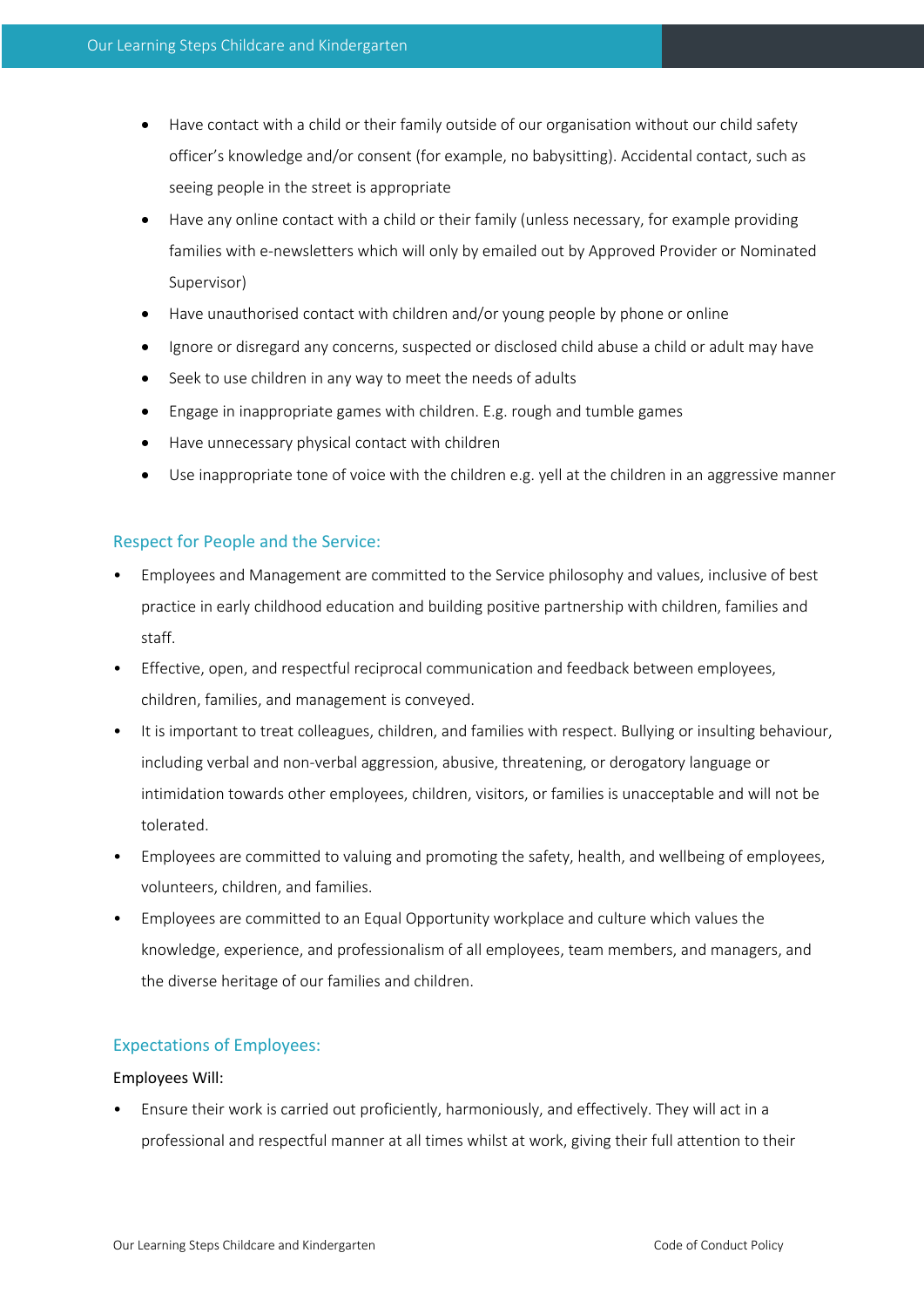- Have contact with a child or their family outside of our organisation without our child safety officer's knowledge and/or consent (for example, no babysitting). Accidental contact, such as seeing people in the street is appropriate
- Have any online contact with a child or their family (unless necessary, for example providing families with e-newsletters which will only by emailed out by Approved Provider or Nominated Supervisor)
- Have unauthorised contact with children and/or young people by phone or online
- Ignore or disregard any concerns, suspected or disclosed child abuse a child or adult may have
- Seek to use children in any way to meet the needs of adults
- Engage in inappropriate games with children. E.g. rough and tumble games
- Have unnecessary physical contact with children
- Use inappropriate tone of voice with the children e.g. yell at the children in an aggressive manner

#### Respect for People and the Service:

- Employees and Management are committed to the Service philosophy and values, inclusive of best practice in early childhood education and building positive partnership with children, families and staff.
- Effective, open, and respectful reciprocal communication and feedback between employees, children, families, and management is conveyed.
- It is important to treat colleagues, children, and families with respect. Bullying or insulting behaviour, including verbal and non-verbal aggression, abusive, threatening, or derogatory language or intimidation towards other employees, children, visitors, or families is unacceptable and will not be tolerated.
- Employees are committed to valuing and promoting the safety, health, and wellbeing of employees, volunteers, children, and families.
- Employees are committed to an Equal Opportunity workplace and culture which values the knowledge, experience, and professionalism of all employees, team members, and managers, and the diverse heritage of our families and children.

#### Expectations of Employees:

#### Employees Will:

• Ensure their work is carried out proficiently, harmoniously, and effectively. They will act in a professional and respectful manner at all times whilst at work, giving their full attention to their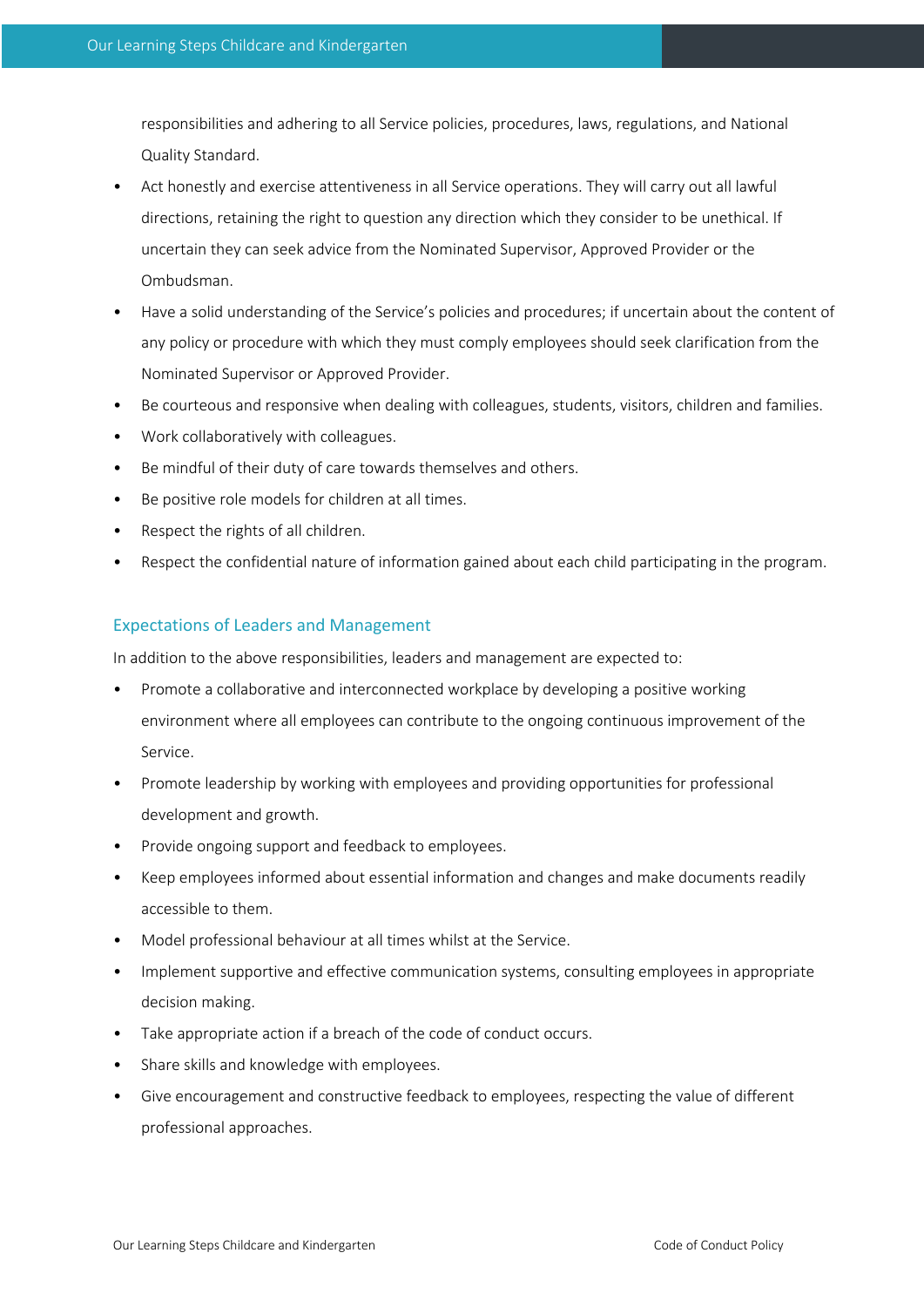responsibilities and adhering to all Service policies, procedures, laws, regulations, and National Quality Standard.

- Act honestly and exercise attentiveness in all Service operations. They will carry out all lawful directions, retaining the right to question any direction which they consider to be unethical. If uncertain they can seek advice from the Nominated Supervisor, Approved Provider or the Ombudsman.
- Have a solid understanding of the Service's policies and procedures; if uncertain about the content of any policy or procedure with which they must comply employees should seek clarification from the Nominated Supervisor or Approved Provider.
- Be courteous and responsive when dealing with colleagues, students, visitors, children and families.
- Work collaboratively with colleagues.
- Be mindful of their duty of care towards themselves and others.
- Be positive role models for children at all times.
- Respect the rights of all children.
- Respect the confidential nature of information gained about each child participating in the program.

#### Expectations of Leaders and Management

In addition to the above responsibilities, leaders and management are expected to:

- Promote a collaborative and interconnected workplace by developing a positive working environment where all employees can contribute to the ongoing continuous improvement of the Service.
- Promote leadership by working with employees and providing opportunities for professional development and growth.
- Provide ongoing support and feedback to employees.
- Keep employees informed about essential information and changes and make documents readily accessible to them.
- Model professional behaviour at all times whilst at the Service.
- Implement supportive and effective communication systems, consulting employees in appropriate decision making.
- Take appropriate action if a breach of the code of conduct occurs.
- Share skills and knowledge with employees.
- Give encouragement and constructive feedback to employees, respecting the value of different professional approaches.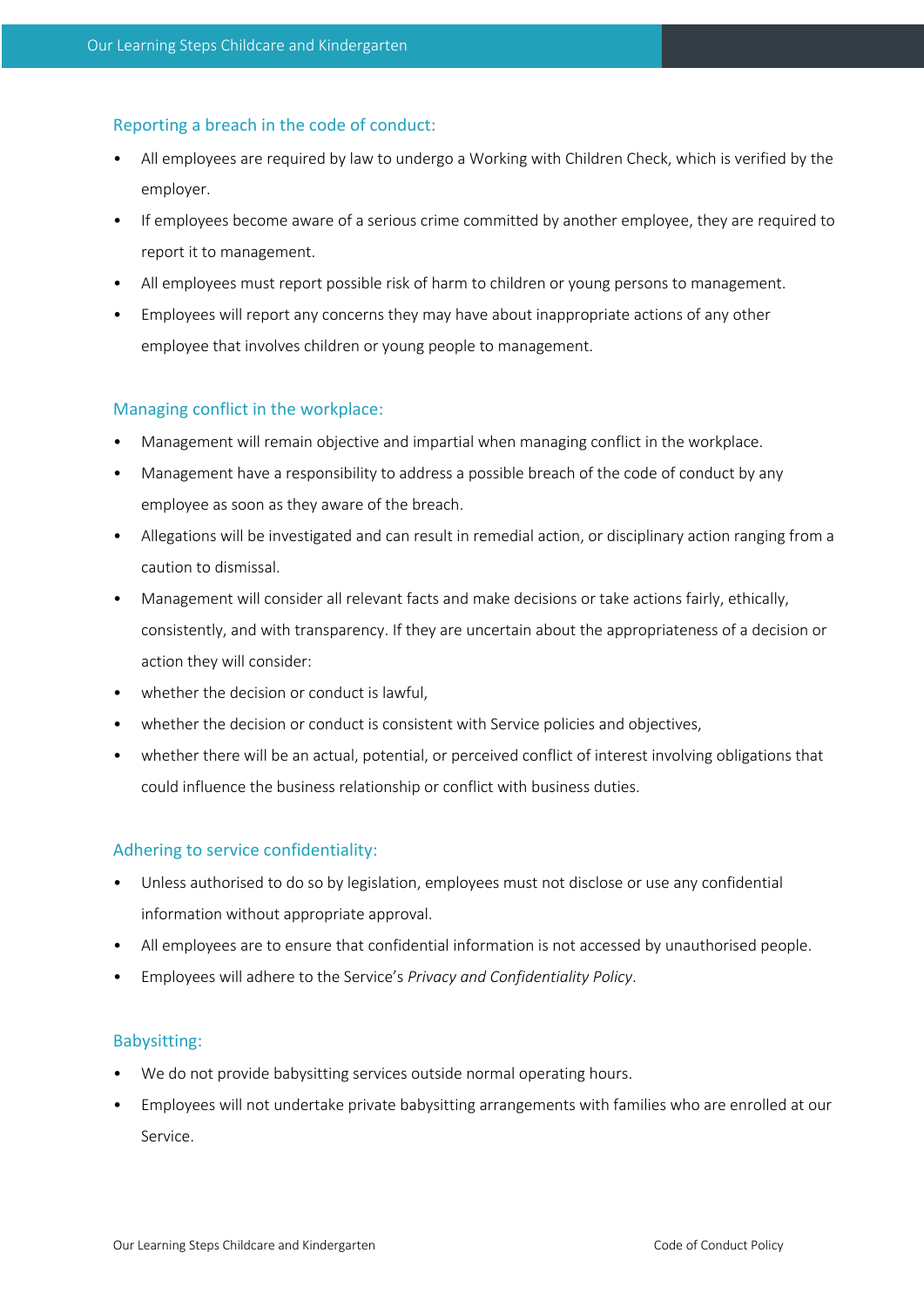## Reporting a breach in the code of conduct:

- All employees are required by law to undergo a Working with Children Check, which is verified by the employer.
- If employees become aware of a serious crime committed by another employee, they are required to report it to management.
- All employees must report possible risk of harm to children or young persons to management.
- Employees will report any concerns they may have about inappropriate actions of any other employee that involves children or young people to management.

## Managing conflict in the workplace:

- Management will remain objective and impartial when managing conflict in the workplace.
- Management have a responsibility to address a possible breach of the code of conduct by any employee as soon as they aware of the breach.
- Allegations will be investigated and can result in remedial action, or disciplinary action ranging from a caution to dismissal.
- Management will consider all relevant facts and make decisions or take actions fairly, ethically, consistently, and with transparency. If they are uncertain about the appropriateness of a decision or action they will consider:
- whether the decision or conduct is lawful,
- whether the decision or conduct is consistent with Service policies and objectives,
- whether there will be an actual, potential, or perceived conflict of interest involving obligations that could influence the business relationship or conflict with business duties.

## Adhering to service confidentiality:

- Unless authorised to do so by legislation, employees must not disclose or use any confidential information without appropriate approval.
- All employees are to ensure that confidential information is not accessed by unauthorised people.
- Employees will adhere to the Service's *Privacy and Confidentiality Policy*.

## Babysitting:

- We do not provide babysitting services outside normal operating hours.
- Employees will not undertake private babysitting arrangements with families who are enrolled at our Service.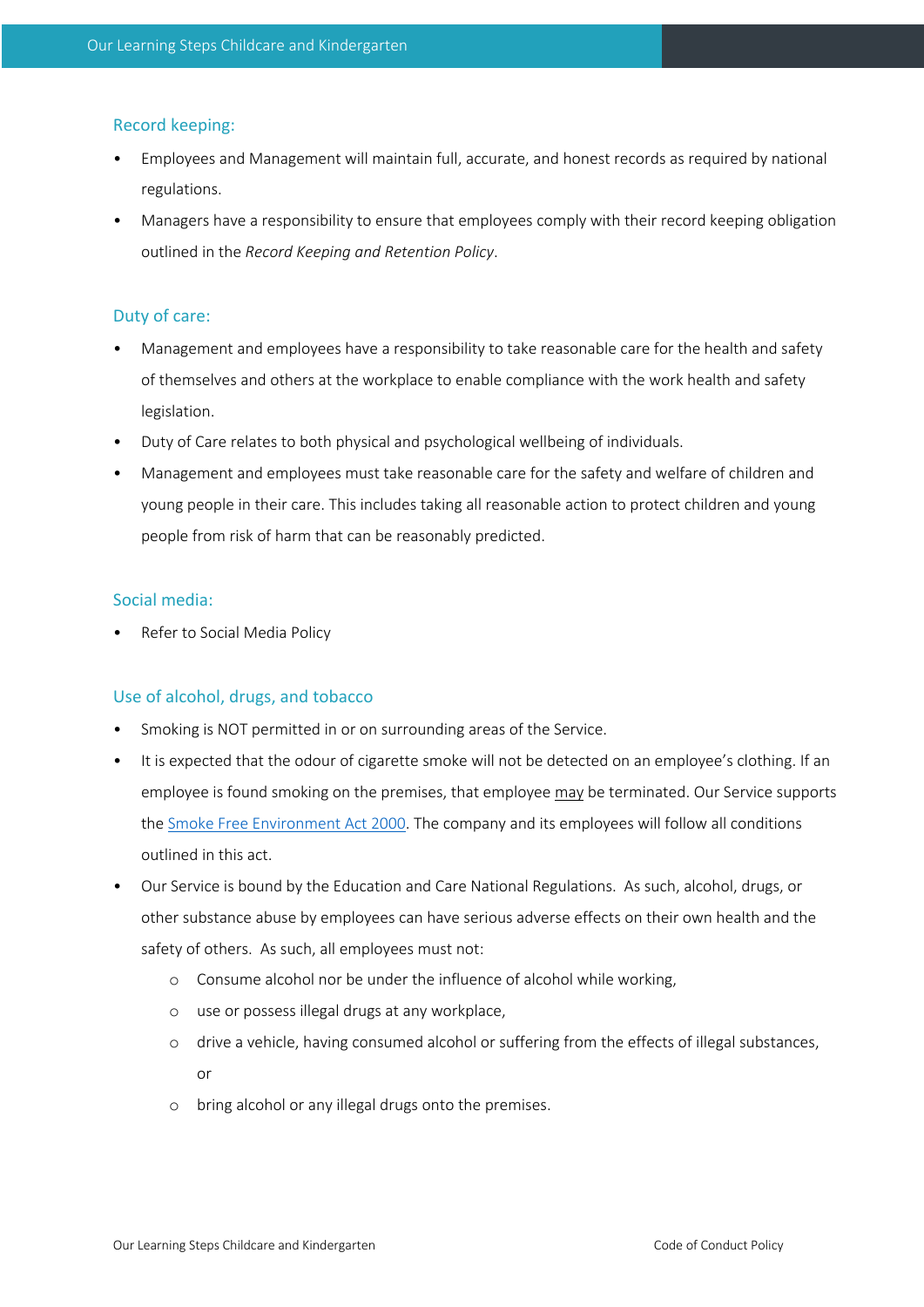## Record keeping:

- Employees and Management will maintain full, accurate, and honest records as required by national regulations.
- Managers have a responsibility to ensure that employees comply with their record keeping obligation outlined in the *Record Keeping and Retention Policy*.

## Duty of care:

- Management and employees have a responsibility to take reasonable care for the health and safety of themselves and others at the workplace to enable compliance with the work health and safety legislation.
- Duty of Care relates to both physical and psychological wellbeing of individuals.
- Management and employees must take reasonable care for the safety and welfare of children and young people in their care. This includes taking all reasonable action to protect children and young people from risk of harm that can be reasonably predicted.

## Social media:

Refer to Social Media Policy

#### Use of alcohol, drugs, and tobacco

- Smoking is NOT permitted in or on surrounding areas of the Service.
- It is expected that the odour of cigarette smoke will not be detected on an employee's clothing. If an employee is found smoking on the premises, that employee may be terminated. Our Service supports the Smoke Free Environment Act 2000. The company and its employees will follow all conditions outlined in this act.
- Our Service is bound by the Education and Care National Regulations. As such, alcohol, drugs, or other substance abuse by employees can have serious adverse effects on their own health and the safety of others. As such, all employees must not:
	- o Consume alcohol nor be under the influence of alcohol while working,
	- o use or possess illegal drugs at any workplace,
	- o drive a vehicle, having consumed alcohol or suffering from the effects of illegal substances, or
	- o bring alcohol or any illegal drugs onto the premises.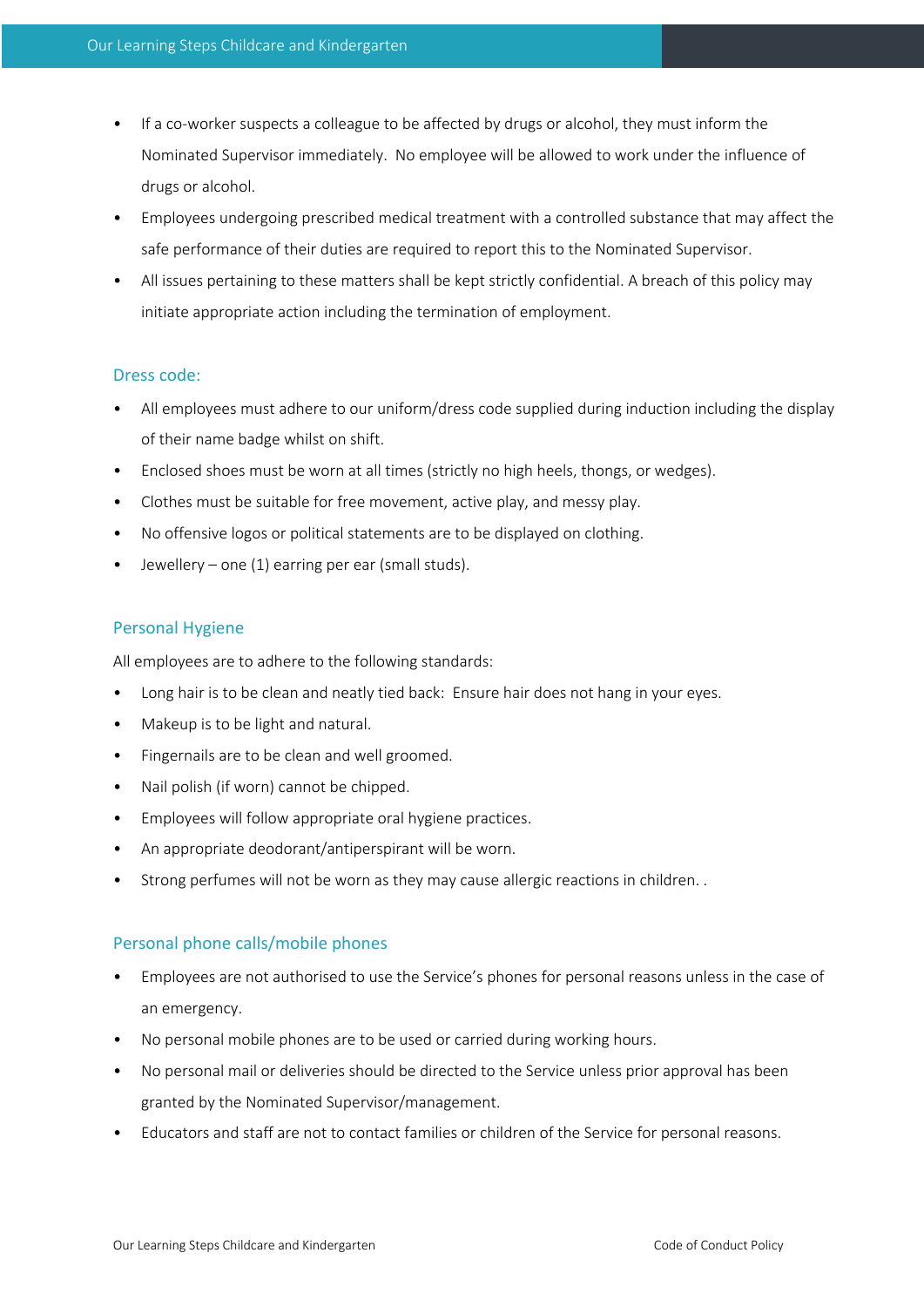- If a co-worker suspects a colleague to be affected by drugs or alcohol, they must inform the Nominated Supervisor immediately. No employee will be allowed to work under the influence of drugs or alcohol.
- Employees undergoing prescribed medical treatment with a controlled substance that may affect the safe performance of their duties are required to report this to the Nominated Supervisor.
- All issues pertaining to these matters shall be kept strictly confidential. A breach of this policy may initiate appropriate action including the termination of employment.

#### Dress code:

- All employees must adhere to our uniform/dress code supplied during induction including the display of their name badge whilst on shift.
- Enclosed shoes must be worn at all times (strictly no high heels, thongs, or wedges).
- Clothes must be suitable for free movement, active play, and messy play.
- No offensive logos or political statements are to be displayed on clothing.
- Jewellery one (1) earring per ear (small studs).

## Personal Hygiene

All employees are to adhere to the following standards:

- Long hair is to be clean and neatly tied back: Ensure hair does not hang in your eyes.
- Makeup is to be light and natural.
- Fingernails are to be clean and well groomed.
- Nail polish (if worn) cannot be chipped.
- Employees will follow appropriate oral hygiene practices.
- An appropriate deodorant/antiperspirant will be worn.
- Strong perfumes will not be worn as they may cause allergic reactions in children. .

## Personal phone calls/mobile phones

- Employees are not authorised to use the Service's phones for personal reasons unless in the case of an emergency.
- No personal mobile phones are to be used or carried during working hours.
- No personal mail or deliveries should be directed to the Service unless prior approval has been granted by the Nominated Supervisor/management.
- Educators and staff are not to contact families or children of the Service for personal reasons.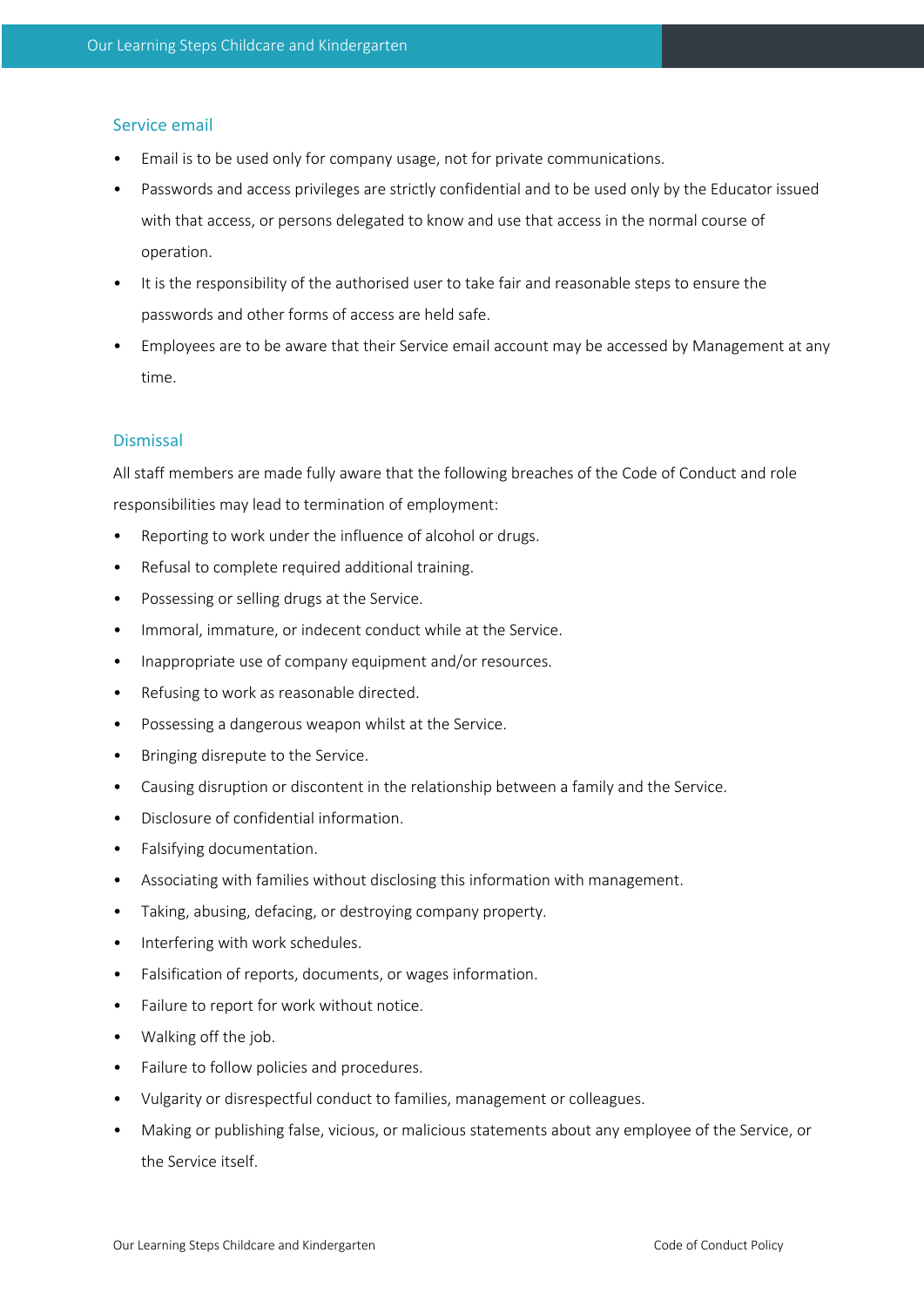## Service email

- Email is to be used only for company usage, not for private communications.
- Passwords and access privileges are strictly confidential and to be used only by the Educator issued with that access, or persons delegated to know and use that access in the normal course of operation.
- It is the responsibility of the authorised user to take fair and reasonable steps to ensure the passwords and other forms of access are held safe.
- Employees are to be aware that their Service email account may be accessed by Management at any time.

## **Dismissal**

All staff members are made fully aware that the following breaches of the Code of Conduct and role responsibilities may lead to termination of employment:

- Reporting to work under the influence of alcohol or drugs.
- Refusal to complete required additional training.
- Possessing or selling drugs at the Service.
- Immoral, immature, or indecent conduct while at the Service.
- Inappropriate use of company equipment and/or resources.
- Refusing to work as reasonable directed.
- Possessing a dangerous weapon whilst at the Service.
- Bringing disrepute to the Service.
- Causing disruption or discontent in the relationship between a family and the Service.
- Disclosure of confidential information.
- Falsifying documentation.
- Associating with families without disclosing this information with management.
- Taking, abusing, defacing, or destroying company property.
- Interfering with work schedules.
- Falsification of reports, documents, or wages information.
- Failure to report for work without notice.
- Walking off the job.
- Failure to follow policies and procedures.
- Vulgarity or disrespectful conduct to families, management or colleagues.
- Making or publishing false, vicious, or malicious statements about any employee of the Service, or the Service itself.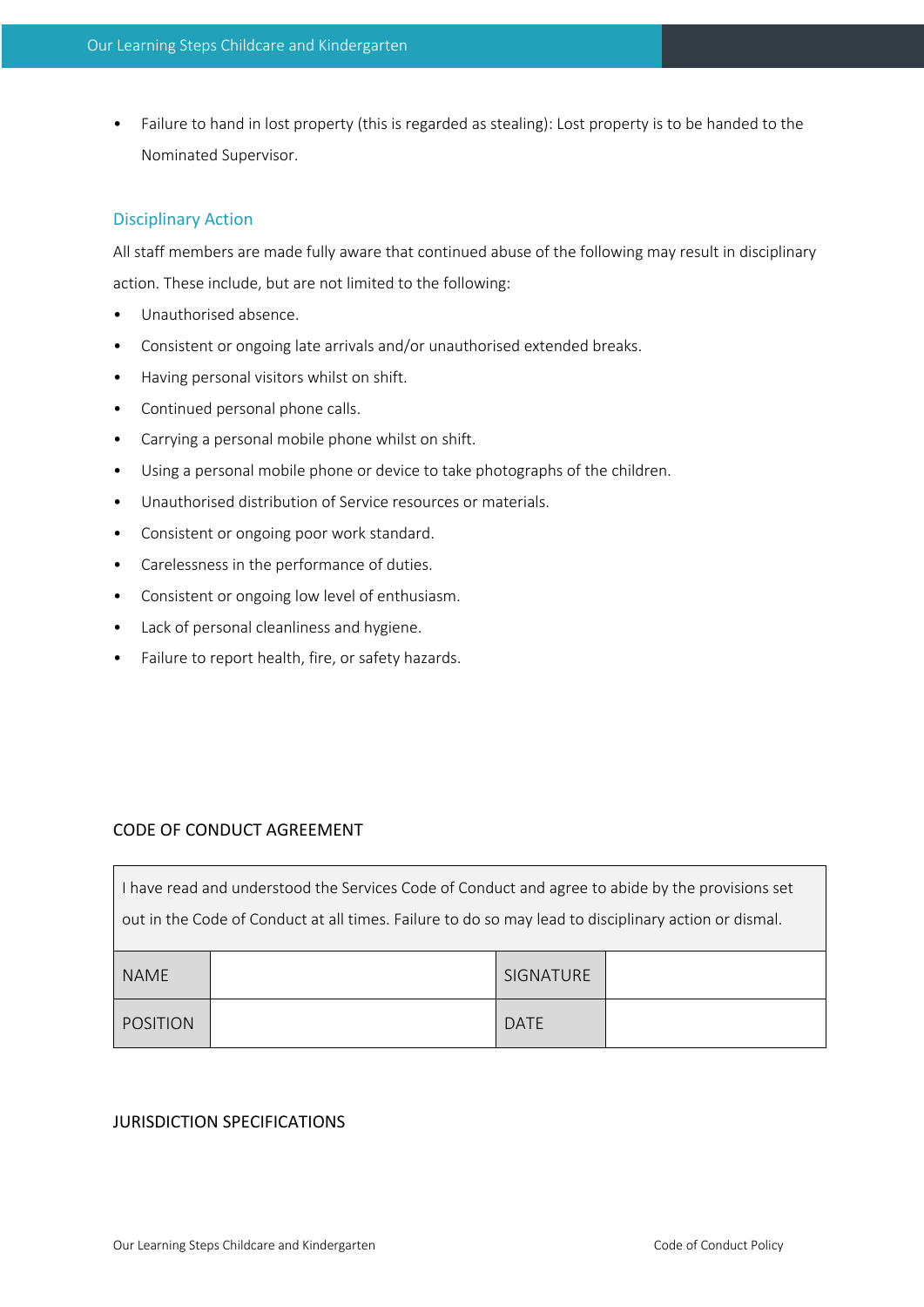• Failure to hand in lost property (this is regarded as stealing): Lost property is to be handed to the Nominated Supervisor.

## Disciplinary Action

All staff members are made fully aware that continued abuse of the following may result in disciplinary action. These include, but are not limited to the following:

- Unauthorised absence.
- Consistent or ongoing late arrivals and/or unauthorised extended breaks.
- Having personal visitors whilst on shift.
- Continued personal phone calls.
- Carrying a personal mobile phone whilst on shift.
- Using a personal mobile phone or device to take photographs of the children.
- Unauthorised distribution of Service resources or materials.
- Consistent or ongoing poor work standard.
- Carelessness in the performance of duties.
- Consistent or ongoing low level of enthusiasm.
- Lack of personal cleanliness and hygiene.
- Failure to report health, fire, or safety hazards.

## CODE OF CONDUCT AGREEMENT

 $\Gamma$ 

| I have read and understood the Services Code of Conduct and agree to abide by the provisions set     |  |                  |  |
|------------------------------------------------------------------------------------------------------|--|------------------|--|
| out in the Code of Conduct at all times. Failure to do so may lead to disciplinary action or dismal. |  |                  |  |
|                                                                                                      |  |                  |  |
| <b>NAME</b>                                                                                          |  | <b>SIGNATURE</b> |  |
| POSITION                                                                                             |  | DATE             |  |

## JURISDICTION SPECIFICATIONS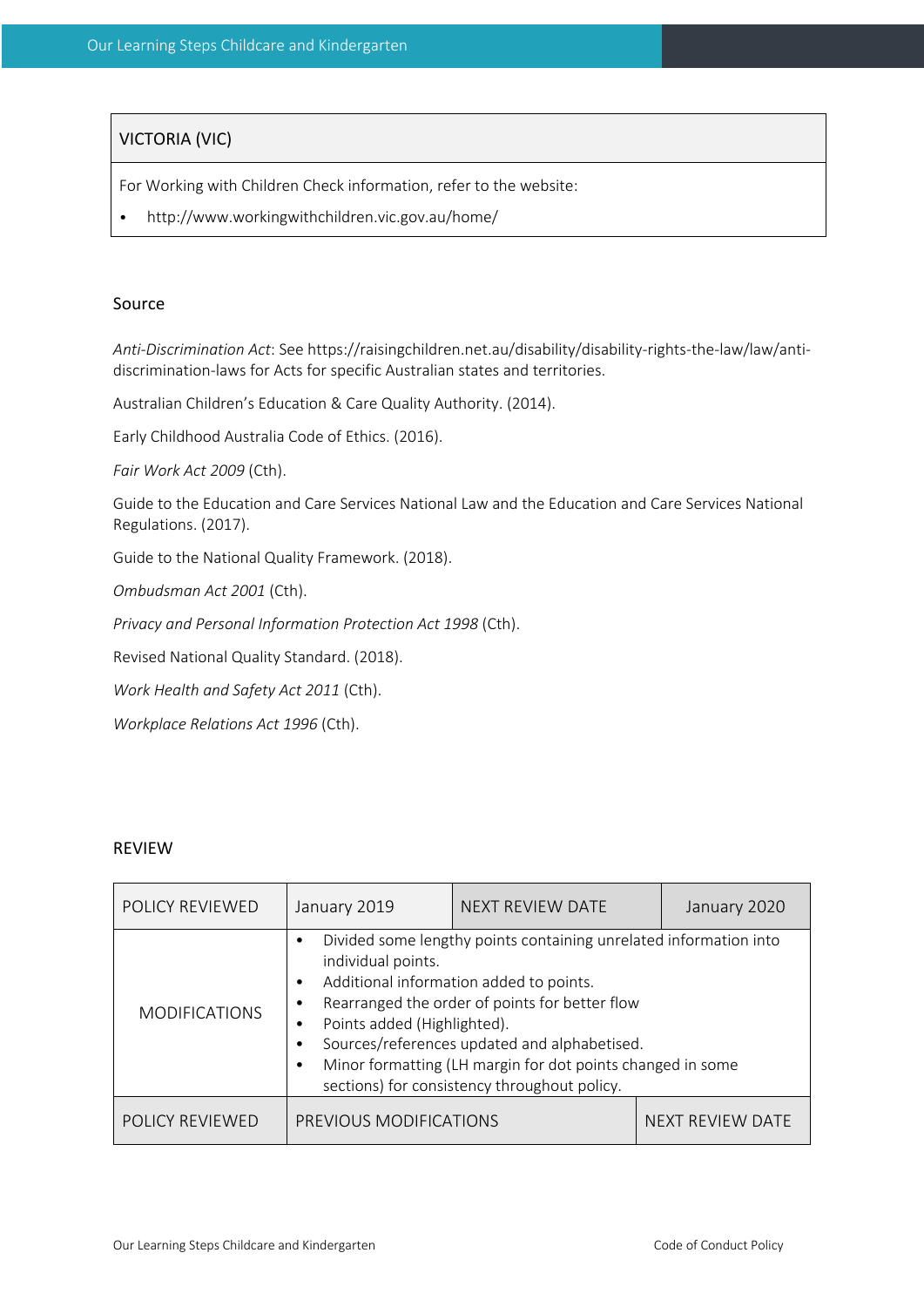## VICTORIA (VIC)

For Working with Children Check information, refer to the website:

• http://www.workingwithchildren.vic.gov.au/home/

#### Source

*Anti-Discrimination Act*: See https://raisingchildren.net.au/disability/disability-rights-the-law/law/antidiscrimination-laws for Acts for specific Australian states and territories.

Australian Children's Education & Care Quality Authority. (2014).

Early Childhood Australia Code of Ethics. (2016).

*Fair Work Act 2009* (Cth).

Guide to the Education and Care Services National Law and the Education and Care Services National Regulations. (2017).

Guide to the National Quality Framework. (2018).

*Ombudsman Act 2001* (Cth).

*Privacy and Personal Information Protection Act 1998* (Cth).

Revised National Quality Standard. (2018).

*Work Health and Safety Act 2011* (Cth).

*Workplace Relations Act 1996* (Cth).

#### REVIEW

| POLICY REVIEWED        | January 2019                                           | NEXT REVIEW DATE                                                                                                                                                                                                                                                                                                             | January 2020            |
|------------------------|--------------------------------------------------------|------------------------------------------------------------------------------------------------------------------------------------------------------------------------------------------------------------------------------------------------------------------------------------------------------------------------------|-------------------------|
| <b>MODIFICATIONS</b>   | individual points.<br>٠<br>Points added (Highlighted). | Divided some lengthy points containing unrelated information into<br>Additional information added to points.<br>Rearranged the order of points for better flow<br>Sources/references updated and alphabetised.<br>Minor formatting (LH margin for dot points changed in some<br>sections) for consistency throughout policy. |                         |
| <b>POLICY REVIEWED</b> | PREVIOUS MODIFICATIONS                                 |                                                                                                                                                                                                                                                                                                                              | <b>NEXT REVIEW DATE</b> |